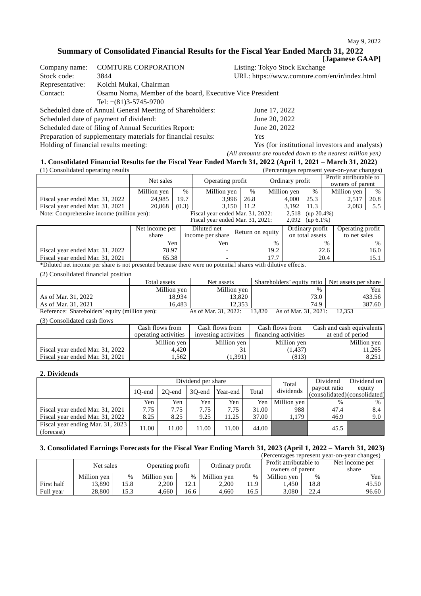### **Summary of Consolidated Financial Results for the Fiscal Year Ended March 31, 2022**

|                 |                                                           | [Japanese GAAP]                               |
|-----------------|-----------------------------------------------------------|-----------------------------------------------|
| Company name:   | <b>COMTURE CORPORATION</b>                                | Listing: Tokyo Stock Exchange                 |
| Stock code:     | 3844                                                      | URL: https://www.comture.com/en/ir/index.html |
| Representative: | Koichi Mukai, Chairman                                    |                                               |
| Contact:        | Osamu Noma, Member of the board, Executive Vice President |                                               |
|                 | Tel: $+(81)3-5745-9700$                                   |                                               |
|                 | Scheduled date of Annual General Meeting of Shareholders: | June 17, 2022                                 |
|                 | Scheduled date of payment of dividend:                    | June 20, 2022                                 |
|                 | Scheduled date of filing of Annual Securities Report:     | June 20, 2022                                 |

Preparation of supplementary materials for financial results: Yes

Holding of financial results meeting: Yes (for institutional investors and analysts) *(All amounts are rounded down to the nearest million yen)*

# **1. Consolidated Financial Results for the Fiscal Year Ended March 31, 2022 (April 1, 2021 – March 31, 2022)**

| (1) Consolidated operating results                      |                |       |                                  |      |                 |                 | (Percentages represent year-on-year changes) |      |
|---------------------------------------------------------|----------------|-------|----------------------------------|------|-----------------|-----------------|----------------------------------------------|------|
|                                                         | Net sales      |       | Operating profit                 |      | Ordinary profit |                 | Profit attributable to<br>owners of parent   |      |
|                                                         | Million yen    | %     | Million yen                      | $\%$ | Million yen     | $\%$            | Million yen                                  | $\%$ |
| Fiscal year ended Mar. 31, 2022                         | 24.985         | 19.7  | 3.996                            | 26.8 | 4.000           | 25.3            | 2,517                                        | 20.8 |
| Fiscal year ended Mar. 31, 2021                         | 20,868         | (0.3) | 3.150                            | 11.2 | 3.192           | 11.3            | 2,083                                        | 5.5  |
| Note: Comprehensive income (million yen):               |                |       | Fiscal year ended Mar. 31, 2022: |      | 2,518           | $up 20.4\%)$    |                                              |      |
| Fiscal year ended Mar. 31, 2021:<br>2,092 (up $6.1\%$ ) |                |       |                                  |      |                 |                 |                                              |      |
|                                                         | Net income ner |       | Diluted net                      |      |                 | Ordinary profit | Operating profit                             |      |

|                                 | Net income per<br>share | Diluted net<br>income per share | Return on equity | Ordinary profit<br>on total assets | Operating profit<br>to net sales |
|---------------------------------|-------------------------|---------------------------------|------------------|------------------------------------|----------------------------------|
|                                 | Yen                     | Yen                             | $\%$             | %                                  |                                  |
| Fiscal year ended Mar. 31, 2022 | 78.97                   |                                 | 19.2             | 22.6                               | 16.0                             |
| Fiscal vear ended Mar. 31, 2021 | 65.38                   |                                 | 177              | 20.4                               |                                  |
| $\mathbf{1}$                    |                         |                                 | $\cdots$         | $\alpha$                           |                                  |

\*Diluted net income per share is not presented because there were no potential shares with dilutive effects.

(2) Consolidated financial position

|                                                | Total assets | Net assets           | Shareholders' equity ratio   Net assets per share |        |
|------------------------------------------------|--------------|----------------------|---------------------------------------------------|--------|
|                                                | Million yen  | Million yen          | $\%$                                              | Yen    |
| As of Mar. 31, 2022                            | 18.934       | 13.820               | 73.0                                              | 433.56 |
| As of Mar. 31, 2021                            | 16.483       | 12.353               | 74.9                                              | 387.60 |
| Reference: Shareholders' equity (million yen): |              | As of Mar. 31, 2022: | As of Mar. 31, 2021:<br>13.820                    | 12.353 |

(3) Consolidated cash flows

|                                 | Cash flows from      | Cash flows from      | Cash flows from      | Cash and cash equivalents |
|---------------------------------|----------------------|----------------------|----------------------|---------------------------|
|                                 | operating activities | investing activities | financing activities | at end of period          |
|                                 | Million yen          | Million yen          | Million yen          | Million yen               |
| Fiscal year ended Mar. 31, 2022 | 4.420                | 31                   | (1, 437)             | 11,265                    |
| Fiscal year ended Mar. 31, 2021 | .562                 | 1,391)               | (813)                | 8,251                     |

### **2. Dividends**

|                                                |        | Dividend per share |        |          |       | Total       | Dividend                                     | Dividend on      |
|------------------------------------------------|--------|--------------------|--------|----------|-------|-------------|----------------------------------------------|------------------|
|                                                | 10-end | 20-end             | 30-end | Year-end | Total | dividends   | payout ratio<br>(consolidated)(consolidated) | equity           |
|                                                | Yen    | Yen                | Yen    | Yen      | Yen   | Million yen | $\frac{0}{0}$                                | $\%$             |
| Fiscal year ended Mar. 31, 2021                | 7.75   | 7.75               | 7.75   | 7.75     | 31.00 | 988         | 47.4                                         | 8.4              |
| Fiscal year ended Mar. 31, 2022                | 8.25   | 8.25               | 9.25   | 11.25    | 37.00 | 1.179       | 46.9                                         | 9.0 <sub>1</sub> |
| Fiscal year ending Mar. 31, 2023<br>(forecast) | 1.00   | 11.00              | 11.00  | 11.00    | 44.00 |             | 45.5                                         |                  |

## **3. Consolidated Earnings Forecasts for the Fiscal Year Ending March 31, 2023 (April 1, 2022 – March 31, 2023)**

|            |                               |      |                 |      |                                            |      |                         |      | (Percentages represent year-on-year changes) |
|------------|-------------------------------|------|-----------------|------|--------------------------------------------|------|-------------------------|------|----------------------------------------------|
|            | Net sales<br>Operating profit |      | Ordinary profit |      | Profit attributable to<br>owners of parent |      | Net income per<br>share |      |                                              |
|            | Million yen                   | $\%$ | Million yen     | %    | Million ven                                | $\%$ | Million yen             | %    | Yen                                          |
| First half | 13,890                        | 15.8 | 2,200           | 12.1 | 2,200                                      | 11.9 | .450                    | 18.8 | 45.50                                        |
| Full year  | 28,800                        | 15.3 | 4.660           | 16.6 | 4.660                                      | 16.5 | 3.080                   | 22.4 | 96.60                                        |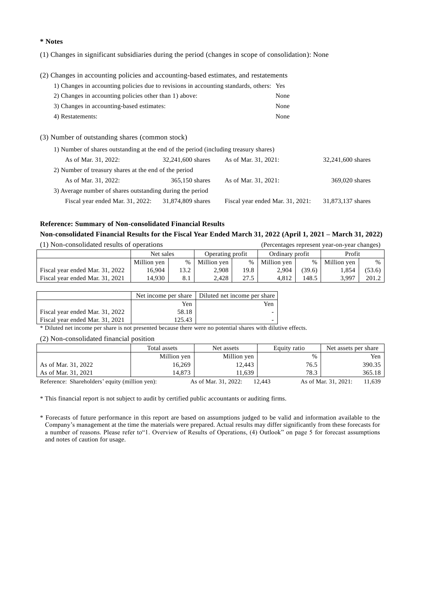### **\* Notes**

(1) Changes in significant subsidiaries during the period (changes in scope of consolidation): None

(2) Changes in accounting policies and accounting-based estimates, and restatements

| 1) Changes in accounting policies due to revisions in accounting standards, others: Yes |      |
|-----------------------------------------------------------------------------------------|------|
| 2) Changes in accounting policies other than 1) above:                                  | None |
| 3) Changes in accounting-based estimates:                                               | None |
| 4) Restatements:                                                                        | None |

(3) Number of outstanding shares (common stock)

| 1) Number of shares outstanding at the end of the period (including treasury shares) |                   |                                  |                   |  |  |  |  |  |
|--------------------------------------------------------------------------------------|-------------------|----------------------------------|-------------------|--|--|--|--|--|
| As of Mar. 31, 2022:                                                                 | 32,241,600 shares | As of Mar. 31, 2021:             | 32,241,600 shares |  |  |  |  |  |
| 2) Number of treasury shares at the end of the period                                |                   |                                  |                   |  |  |  |  |  |
| As of Mar. 31, 2022:                                                                 | 365,150 shares    | As of Mar. 31, 2021:             | 369,020 shares    |  |  |  |  |  |
| 3) Average number of shares outstanding during the period                            |                   |                                  |                   |  |  |  |  |  |
| Fiscal year ended Mar. 31, 2022:                                                     | 31,874,809 shares | Fiscal year ended Mar. 31, 2021: | 31,873,137 shares |  |  |  |  |  |

## **Reference: Summary of Non-consolidated Financial Results**

### **Non-consolidated Financial Results for the Fiscal Year Ended March 31, 2022 (April 1, 2021 – March 31, 2022)**

| (1) Non-consolidated results of operations |             |      |                  |      |                 |        | (Percentages represent year-on-year changes) |        |
|--------------------------------------------|-------------|------|------------------|------|-----------------|--------|----------------------------------------------|--------|
|                                            | Net sales   |      | Operating profit |      | Ordinary profit |        | Profit                                       |        |
|                                            | Million yen | $\%$ | Million yen      | $\%$ | Million yen     | $\%$   | Million yen                                  | $\%$   |
| Fiscal year ended Mar. 31, 2022            | 16.904      | 13.2 | 2,908            | 19.8 | 2.904           | (39.6) | 1.854                                        | (53.6) |
| Fiscal year ended Mar. 31, 2021            | 14.930      | 8.1  | 2.428            | 27.5 | 4.812           | 148.5  | 3.997                                        | 201.2  |

|                                 |        | Net income per share   Diluted net income per share |
|---------------------------------|--------|-----------------------------------------------------|
|                                 | Yen    | Yen                                                 |
| Fiscal year ended Mar. 31, 2022 | 58.18  |                                                     |
| Fiscal year ended Mar. 31, 2021 | 125.43 |                                                     |

\* Diluted net income per share is not presented because there were no potential shares with dilutive effects.

(2) Non-consolidated financial position

|                                                | Total assets | Net assets           | Equity ratio | Net assets per share           |
|------------------------------------------------|--------------|----------------------|--------------|--------------------------------|
|                                                | Million yen  | Million yen          | %            | Yen                            |
| As of Mar. 31, 2022                            | 16.269       | 12,443               | 76.5         | 390.35                         |
| As of Mar. 31, 2021                            | 14.873       | 11.639               | 78.3         | 365.18                         |
| Reference: Shareholders' equity (million yen): |              | As of Mar. 31, 2022: | 12.443       | As of Mar. 31, 2021:<br>11.639 |

\* This financial report is not subject to audit by certified public accountants or auditing firms.

\* Forecasts of future performance in this report are based on assumptions judged to be valid and information available to the Company's management at the time the materials were prepared. Actual results may differ significantly from these forecasts for a number of reasons. Please refer to"1. Overview of Results of Operations, (4) Outlook" on page 5 for forecast assumptions and notes of caution for usage.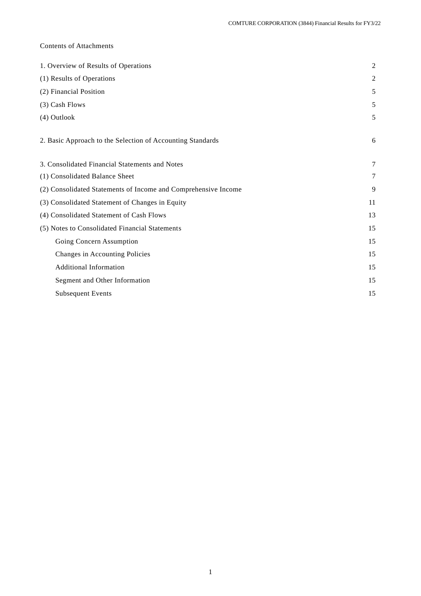## Contents of Attachments

| 1. Overview of Results of Operations                           | $\overline{2}$ |
|----------------------------------------------------------------|----------------|
| (1) Results of Operations                                      | $\overline{2}$ |
| (2) Financial Position                                         | 5              |
| (3) Cash Flows                                                 | 5              |
| (4) Outlook                                                    | 5              |
| 2. Basic Approach to the Selection of Accounting Standards     | 6              |
| 3. Consolidated Financial Statements and Notes                 | 7              |
| (1) Consolidated Balance Sheet                                 | 7              |
| (2) Consolidated Statements of Income and Comprehensive Income | 9              |
| (3) Consolidated Statement of Changes in Equity                | 11             |
| (4) Consolidated Statement of Cash Flows                       | 13             |
| (5) Notes to Consolidated Financial Statements                 | 15             |
| Going Concern Assumption                                       | 15             |
| Changes in Accounting Policies                                 | 15             |
| <b>Additional Information</b>                                  | 15             |
| Segment and Other Information                                  | 15             |
| <b>Subsequent Events</b>                                       | 15             |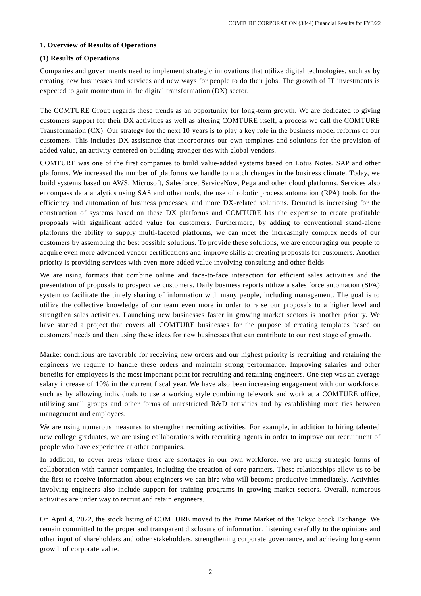### **1. Overview of Results of Operations**

### **(1) Results of Operations**

Companies and governments need to implement strategic innovations that utilize digital technologies, such as by creating new businesses and services and new ways for people to do their jobs. The growth of IT investments is expected to gain momentum in the digital transformation (DX) sector.

The COMTURE Group regards these trends as an opportunity for long-term growth. We are dedicated to giving customers support for their DX activities as well as altering COMTURE itself, a process we call the COMTURE Transformation (CX). Our strategy for the next 10 years is to play a key role in the business model reforms of our customers. This includes DX assistance that incorporates our own templates and solutions for the provision of added value, an activity centered on building stronger ties with global vendors.

COMTURE was one of the first companies to build value-added systems based on Lotus Notes, SAP and other platforms. We increased the number of platforms we handle to match changes in the business climate. Today, we build systems based on AWS, Microsoft, Salesforce, ServiceNow, Pega and other cloud platforms. Services also encompass data analytics using SAS and other tools, the use of robotic process automation (RPA) tools for the efficiency and automation of business processes, and more DX-related solutions. Demand is increasing for the construction of systems based on these DX platforms and COMTURE has the expertise to create profitable proposals with significant added value for customers. Furthermore, by adding to conventional stand-alone platforms the ability to supply multi-faceted platforms, we can meet the increasingly complex needs of our customers by assembling the best possible solutions. To provide these solutions, we are encouraging our people to acquire even more advanced vendor certifications and improve skills at creating proposals for customers. Another priority is providing services with even more added value involving consulting and other fields.

We are using formats that combine online and face-to-face interaction for efficient sales activities and the presentation of proposals to prospective customers. Daily business reports utilize a sales force automation (SFA) system to facilitate the timely sharing of information with many people, including management. The goal is to utilize the collective knowledge of our team even more in order to raise our proposals to a higher level and strengthen sales activities. Launching new businesses faster in growing market sectors is another priority. We have started a project that covers all COMTURE businesses for the purpose of creating templates based on customers' needs and then using these ideas for new businesses that can contribute to our next stage of growth.

Market conditions are favorable for receiving new orders and our highest priority is recruiting and retaining the engineers we require to handle these orders and maintain strong performance. Improving salaries and other benefits for employees is the most important point for recruiting and retaining engineers. One step was an average salary increase of 10% in the current fiscal year. We have also been increasing engagement with our workforce, such as by allowing individuals to use a working style combining telework and work at a COMTURE office, utilizing small groups and other forms of unrestricted R&D activities and by establishing more ties between management and employees.

We are using numerous measures to strengthen recruiting activities. For example, in addition to hiring talented new college graduates, we are using collaborations with recruiting agents in order to improve our recruitment of people who have experience at other companies.

In addition, to cover areas where there are shortages in our own workforce, we are using strategic forms of collaboration with partner companies, including the creation of core partners. These relationships allow us to be the first to receive information about engineers we can hire who will become productive immediately. Activities involving engineers also include support for training programs in growing market sectors. Overall, numerous activities are under way to recruit and retain engineers.

On April 4, 2022, the stock listing of COMTURE moved to the Prime Market of the Tokyo Stock Exchange. We remain committed to the proper and transparent disclosure of information, listening carefully to the opinions and other input of shareholders and other stakeholders, strengthening corporate governance, and achieving long -term growth of corporate value.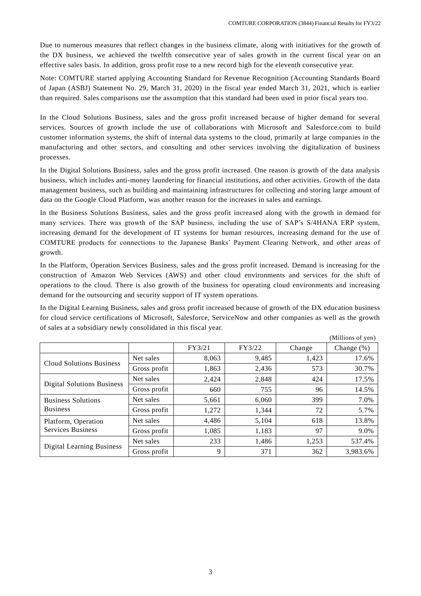Due to numerous measures that reflect changes in the business climate, along with initiatives for the growth of the DX business, we achieved the twelfth consecutive year of sales growth in the current fiscal year on an effective sales basis. In addition, gross profit rose to a new record high for the eleventh consecutive year.

Note: COMTURE started applying Accounting Standard for Revenue Recognition (Accounting Standards Board of Japan (ASBJ) Statement No. 29, March 31, 2020) in the fiscal year ended March 31, 2021, which is earlier than required. Sales comparisons use the assumption that this standard had been used in prior fiscal years too.

In the Cloud Solutions Business, sales and the gross profit increased because of higher demand for several services. Sources of growth include the use of collaborations with Microsoft and Salesforce.com to build customer information systems, the shift of internal data systems to the cloud, primarily at large companies in the manufacturing and other sectors, and consulting and other services involving the digitalization of business processes.

In the Digital Solutions Business, sales and the gross profit increased. One reason is growth of the data analysis business, which includes anti-money laundering for financial institutions, and other activities. Growth of the data management business, such as building and maintaining infrastructures for collecting and storing large amount of data on the Google Cloud Platform, was another reason for the increases in sales and earnings.

In the Business Solutions Business, sales and the gross profit increased along with the growth in demand for many services. There was growth of the SAP business, including the use of SAP's S/4HANA ERP system, increasing demand for the development of IT systems for human resources, increasing demand for the use of COMTURE products for connections to the Japanese Banks' Payment Clearing Network, and other areas of growth.

In the Platform, Operation Services Business, sales and the gross profit increased. Demand is increasing for the construction of Amazon Web Services (AWS) and other cloud environments and services for the shift of operations to the cloud. There is also growth of the business for operating cloud environments and increasing demand for the outsourcing and security support of IT system operations.

In the Digital Learning Business, sales and gross profit increased because of growth of the DX education business for cloud service certifications of Microsoft, Salesforce, ServiceNow and other companies as well as the growth of sales at a subsidiary newly consolidated in this fiscal year.

(Millions of yen) FY3/21 FY3/22 Change Change (%) Cloud Solutions Business Net sales 17.6% 1,423 17.6% Gross profit  $\begin{array}{|c|c|c|c|c|c|c|c|c|} \hline 1,863 & 2,436 & 573 & 30.7\% \hline \end{array}$ Digital Solutions Business Net sales 17.5% 2,424 2,848 424 17.5% Gross profit 660 755 96 14.5% Business Solutions Business Net sales 1 5,661 6,060 399 7.0% Gross profit  $\begin{vmatrix} 1,272 & 1,344 & 72 \end{vmatrix}$  5.7% Platform, Operation Services Business Net sales  $\begin{array}{|c|c|c|c|c|c|c|c|c|} \hline 4,486 & 5,104 & 618 & 13.8\% \hline \end{array}$ Gross profit  $\begin{array}{|c|c|c|c|c|c|c|c|c|} \hline 1,1085 & 1,183 & 97 & 9.0\% \hline \end{array}$ Digital Learning Business Net sales  $\begin{array}{|c|c|c|c|c|c|c|c|} \hline \end{array}$  233 1,486 1,253 537.4% Gross profit  $\begin{array}{|c|c|c|c|c|c|c|c|c|} \hline 9 & 371 & 362 & 3,983.6\% \hline \end{array}$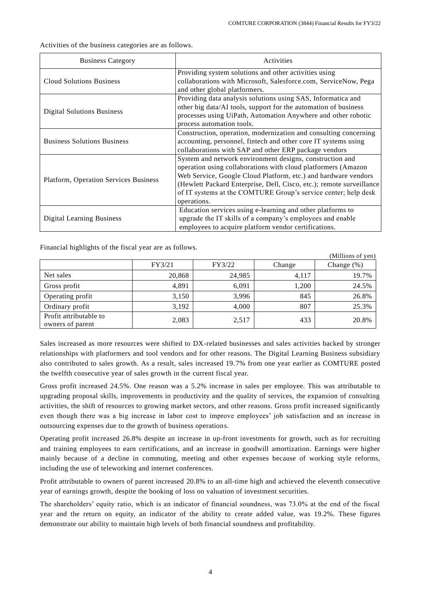$(M<sub>i</sub>)$ lions of you)

| <b>Business Category</b>                     | Activities                                                                                                                                                                                                                                                                                                                                           |
|----------------------------------------------|------------------------------------------------------------------------------------------------------------------------------------------------------------------------------------------------------------------------------------------------------------------------------------------------------------------------------------------------------|
| <b>Cloud Solutions Business</b>              | Providing system solutions and other activities using<br>collaborations with Microsoft, Salesforce.com, ServiceNow, Pega<br>and other global platformers.                                                                                                                                                                                            |
| <b>Digital Solutions Business</b>            | Providing data analysis solutions using SAS, Informatica and<br>other big data/AI tools, support for the automation of business<br>processes using UiPath, Automation Anywhere and other robotic<br>process automation tools.                                                                                                                        |
| <b>Business Solutions Business</b>           | Construction, operation, modernization and consulting concerning<br>accounting, personnel, fintech and other core IT systems using<br>collaborations with SAP and other ERP package vendors                                                                                                                                                          |
| <b>Platform, Operation Services Business</b> | System and network environment designs, construction and<br>operation using collaborations with cloud platformers (Amazon<br>Web Service, Google Cloud Platform, etc.) and hardware vendors<br>(Hewlett Packard Enterprise, Dell, Cisco, etc.); remote surveillance<br>of IT systems at the COMTURE Group's service center; help desk<br>operations. |
| <b>Digital Learning Business</b>             | Education services using e-learning and other platforms to<br>upgrade the IT skills of a company's employees and enable<br>employees to acquire platform vendor certifications.                                                                                                                                                                      |

Activities of the business categories are as follows.

Financial highlights of the fiscal year are as follows.

|                                            | FY3/21 | FY3/22 | Change | (IVIIIIIUIII) UI YUII <i>I</i><br>Change $(\%)$ |
|--------------------------------------------|--------|--------|--------|-------------------------------------------------|
| Net sales                                  | 20,868 | 24,985 | 4,117  | 19.7%                                           |
| Gross profit                               | 4,891  | 6,091  | 1,200  | 24.5%                                           |
| Operating profit                           | 3,150  | 3.996  | 845    | 26.8%                                           |
| Ordinary profit                            | 3,192  | 4,000  | 807    | 25.3%                                           |
| Profit attributable to<br>owners of parent | 2,083  | 2,517  | 433    | 20.8%                                           |

Sales increased as more resources were shifted to DX-related businesses and sales activities backed by stronger relationships with platformers and tool vendors and for other reasons. The Digital Learning Business subsidiary also contributed to sales growth. As a result, sales increased 19.7% from one year earlier as COMTURE posted the twelfth consecutive year of sales growth in the current fiscal year.

Gross profit increased 24.5%. One reason was a 5.2% increase in sales per employee. This was attributable to upgrading proposal skills, improvements in productivity and the quality of services, the expansion of consulting activities, the shift of resources to growing market sectors, and other reasons. Gross profit increased significantly even though there was a big increase in labor cost to improve employees' job satisfaction and an increase in outsourcing expenses due to the growth of business operations.

Operating profit increased 26.8% despite an increase in up-front investments for growth, such as for recruiting and training employees to earn certifications, and an increase in goodwill amortization. Earnings were higher mainly because of a decline in commuting, meeting and other expenses because of working style reforms, including the use of teleworking and internet conferences.

Profit attributable to owners of parent increased 20.8% to an all-time high and achieved the eleventh consecutive year of earnings growth, despite the booking of loss on valuation of investment securities.

The shareholders' equity ratio, which is an indicator of financial soundness, was 73.0% at the end of the fiscal year and the return on equity, an indicator of the ability to create added value, was 19.2%. These figures demonstrate our ability to maintain high levels of both financial soundness and profitability.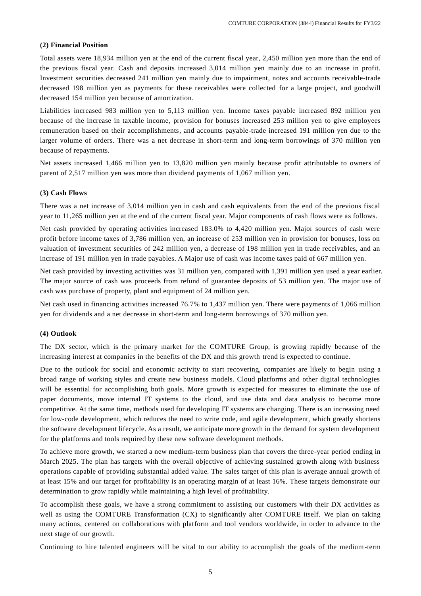### **(2) Financial Position**

Total assets were 18,934 million yen at the end of the current fiscal year, 2,450 million yen more than the end of the previous fiscal year. Cash and deposits increased 3,014 million yen mainly due to an increase in profit. Investment securities decreased 241 million yen mainly due to impairment, notes and accounts receivable-trade decreased 198 million yen as payments for these receivables were collected for a large project, and goodwill decreased 154 million yen because of amortization.

Liabilities increased 983 million yen to 5,113 million yen. Income taxes payable increased 892 million yen because of the increase in taxable income, provision for bonuses increased 253 million yen to give employees remuneration based on their accomplishments, and accounts payable-trade increased 191 million yen due to the larger volume of orders. There was a net decrease in short-term and long-term borrowings of 370 million yen because of repayments.

Net assets increased 1,466 million yen to 13,820 million yen mainly because profit attributable to owners of parent of 2,517 million yen was more than dividend payments of 1,067 million yen.

#### **(3) Cash Flows**

There was a net increase of 3,014 million yen in cash and cash equivalents from the end of the previous fiscal year to 11,265 million yen at the end of the current fiscal year. Major components of cash flows were as follows.

Net cash provided by operating activities increased 183.0% to 4,420 million yen. Major sources of cash were profit before income taxes of 3,786 million yen, an increase of 253 million yen in provision for bonuses, loss on valuation of investment securities of 242 million yen, a decrease of 198 million yen in trade receivables, and an increase of 191 million yen in trade payables. A Major use of cash was income taxes paid of 667 million yen.

Net cash provided by investing activities was 31 million yen, compared with 1,391 million yen used a year earlier. The major source of cash was proceeds from refund of guarantee deposits of 53 million yen. The major use of cash was purchase of property, plant and equipment of 24 million yen.

Net cash used in financing activities increased 76.7% to 1,437 million yen. There were payments of 1,066 million yen for dividends and a net decrease in short-term and long-term borrowings of 370 million yen.

#### **(4) Outlook**

The DX sector, which is the primary market for the COMTURE Group, is growing rapidly because of the increasing interest at companies in the benefits of the DX and this growth trend is expected to continue.

Due to the outlook for social and economic activity to start recovering, companies are likely to begin using a broad range of working styles and create new business models. Cloud platforms and other digital technologies will be essential for accomplishing both goals. More growth is expected for measures to eliminate the use of paper documents, move internal IT systems to the cloud, and use data and data analysis to become more competitive. At the same time, methods used for developing IT systems are changing. There is an increasing need for low-code development, which reduces the need to write code, and agile development, which greatly shortens the software development lifecycle. As a result, we anticipate more growth in the demand for system development for the platforms and tools required by these new software development methods.

To achieve more growth, we started a new medium-term business plan that covers the three-year period ending in March 2025. The plan has targets with the overall objective of achieving sustained growth along with business operations capable of providing substantial added value. The sales target of this plan is average annual growth of at least 15% and our target for profitability is an operating margin of at least 16%. These targets demonstrate our determination to grow rapidly while maintaining a high level of profitability.

To accomplish these goals, we have a strong commitment to assisting our customers with their DX activities as well as using the COMTURE Transformation (CX) to significantly alter COMTURE itself. We plan on taking many actions, centered on collaborations with platform and tool vendors worldwide, in order to advance to the next stage of our growth.

Continuing to hire talented engineers will be vital to our ability to accomplish the goals of the medium-term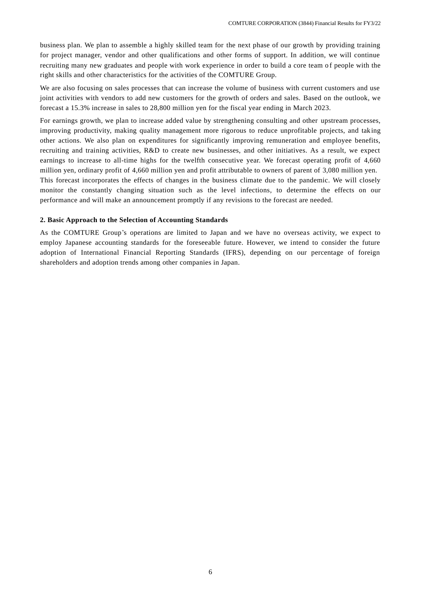business plan. We plan to assemble a highly skilled team for the next phase of our growth by providing training for project manager, vendor and other qualifications and other forms of support. In addition, we will continue recruiting many new graduates and people with work experience in order to build a core team of people with the right skills and other characteristics for the activities of the COMTURE Group.

We are also focusing on sales processes that can increase the volume of business with current customers and use joint activities with vendors to add new customers for the growth of orders and sales. Based on the outlook, we forecast a 15.3% increase in sales to 28,800 million yen for the fiscal year ending in March 2023.

For earnings growth, we plan to increase added value by strengthening consulting and other upstream processes, improving productivity, making quality management more rigorous to reduce unprofitable projects, and taking other actions. We also plan on expenditures for significantly improving remuneration and employee benefits, recruiting and training activities, R&D to create new businesses, and other initiatives. As a result, we expect earnings to increase to all-time highs for the twelfth consecutive year. We forecast operating profit of 4,660 million yen, ordinary profit of 4,660 million yen and profit attributable to owners of parent of 3,080 million yen. This forecast incorporates the effects of changes in the business climate due to the pandemic. We will closely monitor the constantly changing situation such as the level infections, to determine the effects on our performance and will make an announcement promptly if any revisions to the forecast are needed.

### **2. Basic Approach to the Selection of Accounting Standards**

As the COMTURE Group's operations are limited to Japan and we have no overseas activity, we expect to employ Japanese accounting standards for the foreseeable future. However, we intend to consider the future adoption of International Financial Reporting Standards (IFRS), depending on our percentage of foreign shareholders and adoption trends among other companies in Japan.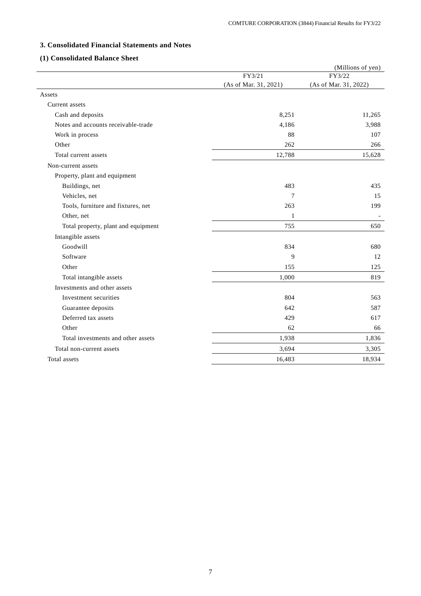# **3. Consolidated Financial Statements and Notes**

## **(1) Consolidated Balance Sheet**

| FY3/21<br>(As of Mar. 31, 2021)<br>Assets<br>Current assets<br>8,251<br>Cash and deposits<br>Notes and accounts receivable-trade<br>4,186<br>Work in process<br>88<br>Other<br>262<br>12,788<br>Total current assets<br>Non-current assets<br>Property, plant and equipment<br>Buildings, net<br>483<br>Vehicles, net<br>7<br>Tools, furniture and fixtures, net<br>263 | (Millions of yen)<br>FY3/22<br>(As of Mar. 31, 2022) |
|-------------------------------------------------------------------------------------------------------------------------------------------------------------------------------------------------------------------------------------------------------------------------------------------------------------------------------------------------------------------------|------------------------------------------------------|
|                                                                                                                                                                                                                                                                                                                                                                         |                                                      |
|                                                                                                                                                                                                                                                                                                                                                                         |                                                      |
|                                                                                                                                                                                                                                                                                                                                                                         |                                                      |
|                                                                                                                                                                                                                                                                                                                                                                         |                                                      |
|                                                                                                                                                                                                                                                                                                                                                                         | 11,265                                               |
|                                                                                                                                                                                                                                                                                                                                                                         | 3,988                                                |
|                                                                                                                                                                                                                                                                                                                                                                         | 107                                                  |
|                                                                                                                                                                                                                                                                                                                                                                         | 266                                                  |
|                                                                                                                                                                                                                                                                                                                                                                         | 15,628                                               |
|                                                                                                                                                                                                                                                                                                                                                                         |                                                      |
|                                                                                                                                                                                                                                                                                                                                                                         |                                                      |
|                                                                                                                                                                                                                                                                                                                                                                         | 435                                                  |
|                                                                                                                                                                                                                                                                                                                                                                         | 15                                                   |
|                                                                                                                                                                                                                                                                                                                                                                         | 199                                                  |
| Other, net<br>1                                                                                                                                                                                                                                                                                                                                                         | $\overline{\phantom{a}}$                             |
| 755<br>Total property, plant and equipment                                                                                                                                                                                                                                                                                                                              | 650                                                  |
| Intangible assets                                                                                                                                                                                                                                                                                                                                                       |                                                      |
| Goodwill<br>834                                                                                                                                                                                                                                                                                                                                                         | 680                                                  |
| Software<br>9                                                                                                                                                                                                                                                                                                                                                           | 12                                                   |
| Other<br>155                                                                                                                                                                                                                                                                                                                                                            | 125                                                  |
| Total intangible assets<br>1,000                                                                                                                                                                                                                                                                                                                                        | 819                                                  |
| Investments and other assets                                                                                                                                                                                                                                                                                                                                            |                                                      |
| 804<br>Investment securities                                                                                                                                                                                                                                                                                                                                            | 563                                                  |
| Guarantee deposits<br>642                                                                                                                                                                                                                                                                                                                                               | 587                                                  |
| Deferred tax assets<br>429                                                                                                                                                                                                                                                                                                                                              | 617                                                  |
| Other<br>62                                                                                                                                                                                                                                                                                                                                                             | 66                                                   |
| Total investments and other assets<br>1,938                                                                                                                                                                                                                                                                                                                             | 1,836                                                |
| 3,694<br>Total non-current assets                                                                                                                                                                                                                                                                                                                                       | 3,305                                                |
| Total assets<br>16,483                                                                                                                                                                                                                                                                                                                                                  |                                                      |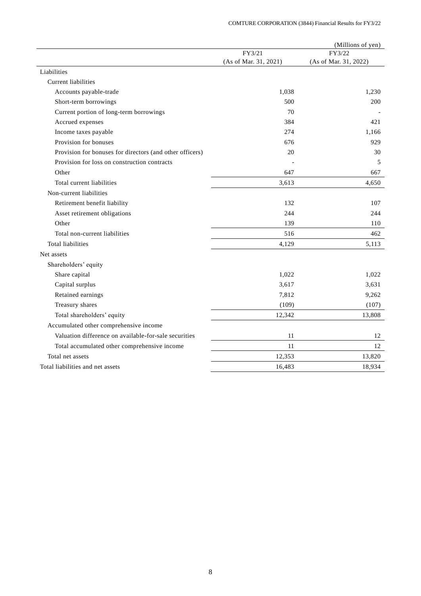|                                                          |                       | (Millions of yen)     |
|----------------------------------------------------------|-----------------------|-----------------------|
|                                                          | FY3/21                | FY3/22                |
|                                                          | (As of Mar. 31, 2021) | (As of Mar. 31, 2022) |
| Liabilities                                              |                       |                       |
| Current liabilities                                      |                       |                       |
| Accounts payable-trade                                   | 1,038                 | 1,230                 |
| Short-term borrowings                                    | 500                   | 200                   |
| Current portion of long-term borrowings                  | 70                    |                       |
| Accrued expenses                                         | 384                   | 421                   |
| Income taxes payable                                     | 274                   | 1,166                 |
| Provision for bonuses                                    | 676                   | 929                   |
| Provision for bonuses for directors (and other officers) | 20                    | 30                    |
| Provision for loss on construction contracts             |                       | 5                     |
| Other                                                    | 647                   | 667                   |
| Total current liabilities                                | 3,613                 | 4,650                 |
| Non-current liabilities                                  |                       |                       |
| Retirement benefit liability                             | 132                   | 107                   |
| Asset retirement obligations                             | 244                   | 244                   |
| Other                                                    | 139                   | 110                   |
| Total non-current liabilities                            | 516                   | 462                   |
| <b>Total liabilities</b>                                 | 4,129                 | 5,113                 |
| Net assets                                               |                       |                       |
| Shareholders' equity                                     |                       |                       |
| Share capital                                            | 1,022                 | 1,022                 |
| Capital surplus                                          | 3,617                 | 3,631                 |
| Retained earnings                                        | 7,812                 | 9,262                 |
| Treasury shares                                          | (109)                 | (107)                 |
| Total shareholders' equity                               | 12,342                | 13,808                |
| Accumulated other comprehensive income                   |                       |                       |
| Valuation difference on available-for-sale securities    | 11                    | 12                    |
| Total accumulated other comprehensive income             | 11                    | 12                    |
| Total net assets                                         | 12,353                | 13,820                |
| Total liabilities and net assets                         | 16,483                | 18,934                |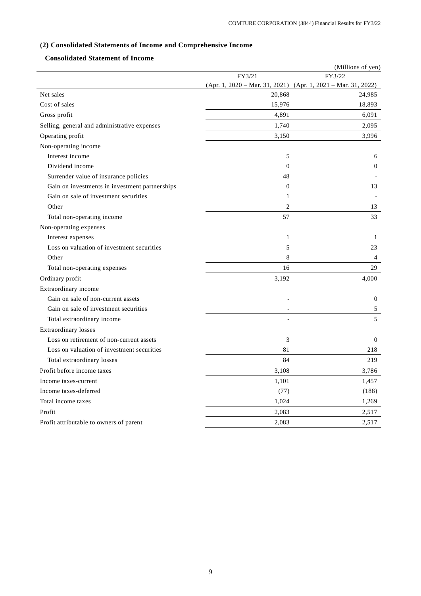# **(2) Consolidated Statements of Income and Comprehensive Income**

## **Consolidated Statement of Income**

|                                                |                | (Millions of yen)                                             |
|------------------------------------------------|----------------|---------------------------------------------------------------|
|                                                | FY3/21         | FY3/22                                                        |
|                                                |                | (Apr. 1, 2020 - Mar. 31, 2021) (Apr. 1, 2021 - Mar. 31, 2022) |
| Net sales                                      | 20,868         | 24,985                                                        |
| Cost of sales                                  | 15,976         | 18,893                                                        |
| Gross profit                                   | 4,891          | 6,091                                                         |
| Selling, general and administrative expenses   | 1,740          | 2,095                                                         |
| Operating profit                               | 3,150          | 3,996                                                         |
| Non-operating income                           |                |                                                               |
| Interest income                                | 5              | 6                                                             |
| Dividend income                                | $\mathbf{0}$   | $\theta$                                                      |
| Surrender value of insurance policies          | 48             |                                                               |
| Gain on investments in investment partnerships | $\mathbf{0}$   | 13                                                            |
| Gain on sale of investment securities          | $\mathbf{1}$   |                                                               |
| Other                                          | 2              | 13                                                            |
| Total non-operating income                     | 57             | 33                                                            |
| Non-operating expenses                         |                |                                                               |
| Interest expenses                              | $\mathbf{1}$   | $\mathbf{1}$                                                  |
| Loss on valuation of investment securities     | 5              | 23                                                            |
| Other                                          | 8              | $\overline{4}$                                                |
| Total non-operating expenses                   | 16             | 29                                                            |
| Ordinary profit                                | 3,192          | 4.000                                                         |
| Extraordinary income                           |                |                                                               |
| Gain on sale of non-current assets             |                | $\theta$                                                      |
| Gain on sale of investment securities          |                | 5                                                             |
| Total extraordinary income                     | $\overline{a}$ | 5                                                             |
| Extraordinary losses                           |                |                                                               |
| Loss on retirement of non-current assets       | 3              | $\mathbf{0}$                                                  |
| Loss on valuation of investment securities     | 81             | 218                                                           |
| Total extraordinary losses                     | 84             | 219                                                           |
| Profit before income taxes                     | 3,108          | 3,786                                                         |
| Income taxes-current                           | 1,101          | 1,457                                                         |
| Income taxes-deferred                          | (77)           | (188)                                                         |
| Total income taxes                             | 1,024          | 1,269                                                         |
| Profit                                         | 2,083          | 2,517                                                         |
| Profit attributable to owners of parent        | 2,083          | 2,517                                                         |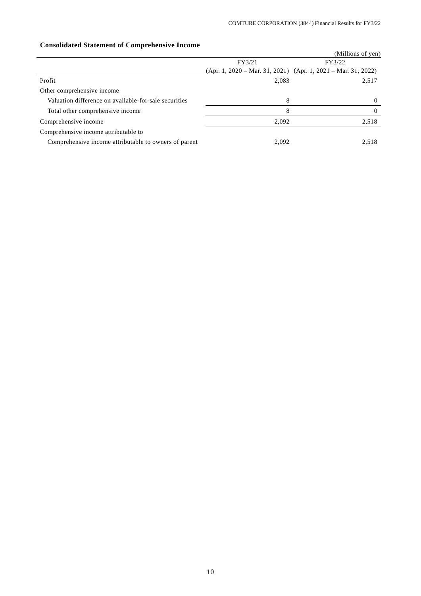|                                                       |        | (Millions of yen)                                                 |
|-------------------------------------------------------|--------|-------------------------------------------------------------------|
|                                                       | FY3/21 | FY3/22                                                            |
|                                                       |        | $(Apr. 1, 2020 - Mar. 31, 2021)$ $(Apr. 1, 2021 - Mar. 31, 2022)$ |
| Profit                                                | 2,083  | 2,517                                                             |
| Other comprehensive income                            |        |                                                                   |
| Valuation difference on available-for-sale securities | 8      | $\Omega$                                                          |
| Total other comprehensive income                      | 8      | $\Omega$                                                          |
| Comprehensive income                                  | 2,092  | 2,518                                                             |
| Comprehensive income attributable to                  |        |                                                                   |
| Comprehensive income attributable to owners of parent | 2.092  | 2,518                                                             |

# **Consolidated Statement of Comprehensive Income**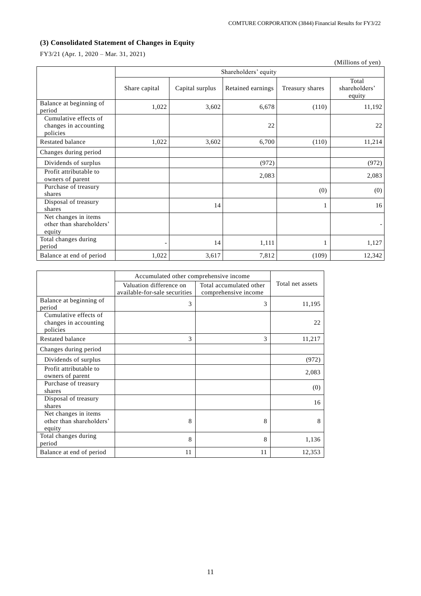# **(3) Consolidated Statement of Changes in Equity**

FY3/21 (Apr. 1, 2020 – Mar. 31, 2021)

|                                                            |               |                 |                      |                 | (Millions of yen)                |
|------------------------------------------------------------|---------------|-----------------|----------------------|-----------------|----------------------------------|
|                                                            |               |                 | Shareholders' equity |                 |                                  |
|                                                            | Share capital | Capital surplus | Retained earnings    | Treasury shares | Total<br>shareholders'<br>equity |
| Balance at beginning of<br>period                          | 1,022         | 3,602           | 6,678                | (110)           | 11,192                           |
| Cumulative effects of<br>changes in accounting<br>policies |               |                 | 22                   |                 | 22                               |
| Restated balance                                           | 1,022         | 3,602           | 6,700                | (110)           | 11,214                           |
| Changes during period                                      |               |                 |                      |                 |                                  |
| Dividends of surplus                                       |               |                 | (972)                |                 | (972)                            |
| Profit attributable to<br>owners of parent                 |               |                 | 2,083                |                 | 2,083                            |
| Purchase of treasury<br>shares                             |               |                 |                      | (0)             | (0)                              |
| Disposal of treasury<br>shares                             |               | 14              |                      | 1               | 16                               |
| Net changes in items<br>other than shareholders'<br>equity |               |                 |                      |                 |                                  |
| Total changes during<br>period                             |               | 14              | 1,111                | 1               | 1,127                            |
| Balance at end of period                                   | 1,022         | 3,617           | 7,812                | (109)           | 12,342                           |

|                                                            | Accumulated other comprehensive income                   |                                                 |                  |
|------------------------------------------------------------|----------------------------------------------------------|-------------------------------------------------|------------------|
|                                                            | Valuation difference on<br>available-for-sale securities | Total accumulated other<br>comprehensive income | Total net assets |
| Balance at beginning of<br>period                          | 3                                                        | 3                                               | 11,195           |
| Cumulative effects of<br>changes in accounting<br>policies |                                                          |                                                 | 22               |
| Restated balance                                           | 3                                                        | 3                                               | 11,217           |
| Changes during period                                      |                                                          |                                                 |                  |
| Dividends of surplus                                       |                                                          |                                                 | (972)            |
| Profit attributable to<br>owners of parent                 |                                                          |                                                 | 2,083            |
| Purchase of treasury<br>shares                             |                                                          |                                                 | (0)              |
| Disposal of treasury<br>shares                             |                                                          |                                                 | 16               |
| Net changes in items<br>other than shareholders'<br>equity | 8                                                        | 8                                               | 8                |
| Total changes during<br>period                             | 8                                                        | 8                                               | 1,136            |
| Balance at end of period                                   | 11                                                       | 11                                              | 12,353           |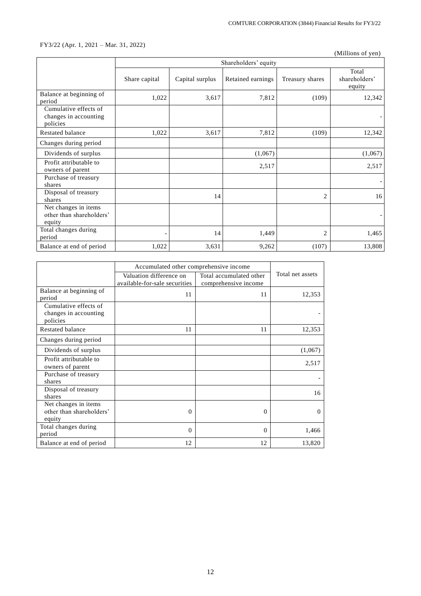## FY3/22 (Apr. 1, 2021 – Mar. 31, 2022)

(Millions of yen)

|                                                            |               |                 | Shareholders' equity |                 |                                  |
|------------------------------------------------------------|---------------|-----------------|----------------------|-----------------|----------------------------------|
|                                                            | Share capital | Capital surplus | Retained earnings    | Treasury shares | Total<br>shareholders'<br>equity |
| Balance at beginning of<br>period                          | 1,022         | 3,617           | 7,812                | (109)           | 12,342                           |
| Cumulative effects of<br>changes in accounting<br>policies |               |                 |                      |                 |                                  |
| <b>Restated balance</b>                                    | 1,022         | 3,617           | 7,812                | (109)           | 12,342                           |
| Changes during period                                      |               |                 |                      |                 |                                  |
| Dividends of surplus                                       |               |                 | (1,067)              |                 | (1,067)                          |
| Profit attributable to<br>owners of parent                 |               |                 | 2,517                |                 | 2,517                            |
| Purchase of treasury<br>shares                             |               |                 |                      |                 |                                  |
| Disposal of treasury<br>shares                             |               | 14              |                      | $\overline{2}$  | 16                               |
| Net changes in items<br>other than shareholders'<br>equity |               |                 |                      |                 |                                  |
| Total changes during<br>period                             |               | 14              | 1,449                | $\overline{c}$  | 1,465                            |
| Balance at end of period                                   | 1,022         | 3,631           | 9,262                | (107)           | 13,808                           |

|                                                            | Accumulated other comprehensive income                   |                                                 |                  |
|------------------------------------------------------------|----------------------------------------------------------|-------------------------------------------------|------------------|
|                                                            | Valuation difference on<br>available-for-sale securities | Total accumulated other<br>comprehensive income | Total net assets |
| Balance at beginning of<br>period                          | 11                                                       | 11                                              | 12,353           |
| Cumulative effects of<br>changes in accounting<br>policies |                                                          |                                                 |                  |
| Restated balance                                           | 11                                                       | 11                                              | 12,353           |
| Changes during period                                      |                                                          |                                                 |                  |
| Dividends of surplus                                       |                                                          |                                                 | (1,067)          |
| Profit attributable to<br>owners of parent                 |                                                          |                                                 | 2,517            |
| Purchase of treasury<br>shares                             |                                                          |                                                 |                  |
| Disposal of treasury<br>shares                             |                                                          |                                                 | 16               |
| Net changes in items<br>other than shareholders'<br>equity | $\overline{0}$                                           | $\Omega$                                        | $\Omega$         |
| Total changes during<br>period                             | $\Omega$                                                 | $\Omega$                                        | 1,466            |
| Balance at end of period                                   | 12                                                       | 12                                              | 13,820           |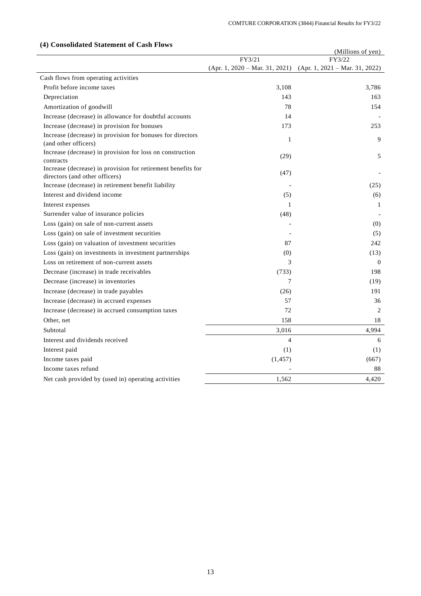|                                                                                                |                | (Millions of yen)                                                 |
|------------------------------------------------------------------------------------------------|----------------|-------------------------------------------------------------------|
|                                                                                                | FY3/21         | FY3/22                                                            |
|                                                                                                |                | $(Apr. 1, 2020 - Mar. 31, 2021)$ $(Apr. 1, 2021 - Mar. 31, 2022)$ |
| Cash flows from operating activities                                                           |                |                                                                   |
| Profit before income taxes                                                                     | 3,108          | 3,786                                                             |
| Depreciation                                                                                   | 143            | 163                                                               |
| Amortization of goodwill                                                                       | 78             | 154                                                               |
| Increase (decrease) in allowance for doubtful accounts                                         | 14             |                                                                   |
| Increase (decrease) in provision for bonuses                                                   | 173            | 253                                                               |
| Increase (decrease) in provision for bonuses for directors<br>(and other officers)             | 1              | 9                                                                 |
| Increase (decrease) in provision for loss on construction<br>contracts                         | (29)           | 5                                                                 |
| Increase (decrease) in provision for retirement benefits for<br>directors (and other officers) | (47)           |                                                                   |
| Increase (decrease) in retirement benefit liability                                            |                | (25)                                                              |
| Interest and dividend income                                                                   | (5)            | (6)                                                               |
| Interest expenses                                                                              | 1              | 1                                                                 |
| Surrender value of insurance policies                                                          | (48)           |                                                                   |
| Loss (gain) on sale of non-current assets                                                      |                | (0)                                                               |
| Loss (gain) on sale of investment securities                                                   |                | (5)                                                               |
| Loss (gain) on valuation of investment securities                                              | 87             | 242                                                               |
| Loss (gain) on investments in investment partnerships                                          | (0)            | (13)                                                              |
| Loss on retirement of non-current assets                                                       | 3              | $\overline{0}$                                                    |
| Decrease (increase) in trade receivables                                                       | (733)          | 198                                                               |
| Decrease (increase) in inventories                                                             | 7              | (19)                                                              |
| Increase (decrease) in trade payables                                                          | (26)           | 191                                                               |
| Increase (decrease) in accrued expenses                                                        | 57             | 36                                                                |
| Increase (decrease) in accrued consumption taxes                                               | 72             | 2                                                                 |
| Other, net                                                                                     | 158            | 18                                                                |
| Subtotal                                                                                       | 3,016          | 4,994                                                             |
| Interest and dividends received                                                                | $\overline{4}$ | 6                                                                 |
| Interest paid                                                                                  | (1)            | (1)                                                               |
| Income taxes paid                                                                              | (1, 457)       | (667)                                                             |
| Income taxes refund                                                                            |                | 88                                                                |
| Net cash provided by (used in) operating activities                                            | 1,562          | 4,420                                                             |
|                                                                                                |                |                                                                   |

## **(4) Consolidated Statement of Cash Flows**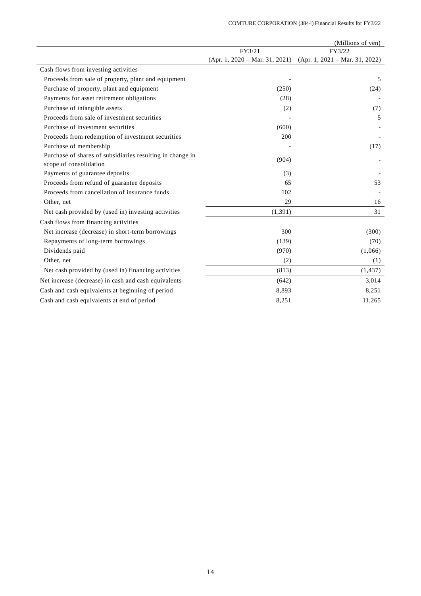|                                                                                     |                                  | (Millions of yen)                |
|-------------------------------------------------------------------------------------|----------------------------------|----------------------------------|
|                                                                                     | FY3/21                           | FY3/22                           |
|                                                                                     | $(Apr. 1, 2020 - Mar. 31, 2021)$ | $(Apr. 1, 2021 - Mar. 31, 2022)$ |
| Cash flows from investing activities                                                |                                  |                                  |
| Proceeds from sale of property, plant and equipment                                 |                                  | 5                                |
| Purchase of property, plant and equipment                                           |                                  | (250)<br>(24)                    |
| Payments for asset retirement obligations                                           |                                  | (28)                             |
| Purchase of intangible assets                                                       |                                  | (2)<br>(7)                       |
| Proceeds from sale of investment securities                                         |                                  | 5                                |
| Purchase of investment securities                                                   |                                  | (600)                            |
| Proceeds from redemption of investment securities                                   |                                  | 200                              |
| Purchase of membership                                                              |                                  | (17)                             |
| Purchase of shares of subsidiaries resulting in change in<br>scope of consolidation |                                  | (904)                            |
| Payments of guarantee deposits                                                      |                                  | (3)                              |
| Proceeds from refund of guarantee deposits                                          |                                  | 65<br>53                         |
| Proceeds from cancellation of insurance funds                                       |                                  | 102                              |
| Other, net                                                                          |                                  | 29<br>16                         |
| Net cash provided by (used in) investing activities                                 | (1, 391)                         | 31                               |
| Cash flows from financing activities                                                |                                  |                                  |
| Net increase (decrease) in short-term borrowings                                    |                                  | 300<br>(300)                     |
| Repayments of long-term borrowings                                                  |                                  | (139)<br>(70)                    |
| Dividends paid                                                                      |                                  | (970)<br>(1,066)                 |
| Other, net                                                                          |                                  | (2)<br>(1)                       |
| Net cash provided by (used in) financing activities                                 |                                  | (813)<br>(1, 437)                |
| Net increase (decrease) in cash and cash equivalents                                |                                  | (642)<br>3,014                   |
| Cash and cash equivalents at beginning of period                                    |                                  | 8,251<br>8,893                   |
| Cash and cash equivalents at end of period                                          |                                  | 8,251<br>11,265                  |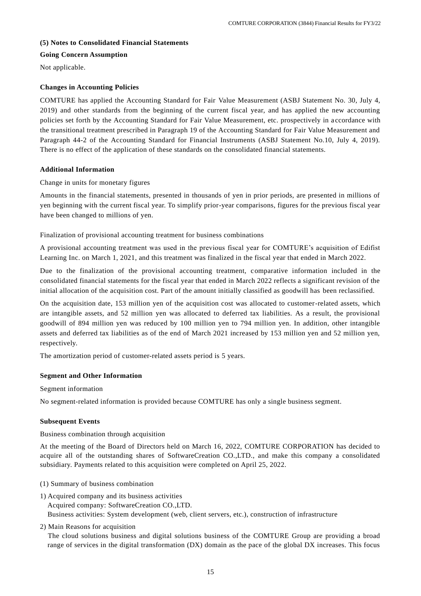### **(5) Notes to Consolidated Financial Statements**

### **Going Concern Assumption**

Not applicable.

### **Changes in Accounting Policies**

COMTURE has applied the Accounting Standard for Fair Value Measurement (ASBJ Statement No. 30, July 4, 2019) and other standards from the beginning of the current fiscal year, and has applied the new accounting policies set forth by the Accounting Standard for Fair Value Measurement, etc. prospectively in a ccordance with the transitional treatment prescribed in Paragraph 19 of the Accounting Standard for Fair Value Measurement and Paragraph 44-2 of the Accounting Standard for Financial Instruments (ASBJ Statement No.10, July 4, 2019). There is no effect of the application of these standards on the consolidated financial statements.

## **Additional Information**

### Change in units for monetary figures

Amounts in the financial statements, presented in thousands of yen in prior periods, are presented in millions of yen beginning with the current fiscal year. To simplify prior-year comparisons, figures for the previous fiscal year have been changed to millions of yen.

Finalization of provisional accounting treatment for business combinations

A provisional accounting treatment was used in the previous fiscal year for COMTURE's acquisition of Edifist Learning Inc. on March 1, 2021, and this treatment was finalized in the fiscal year that ended in March 2022.

Due to the finalization of the provisional accounting treatment, comparative information included in the consolidated financial statements for the fiscal year that ended in March 2022 reflects a significant revision of the initial allocation of the acquisition cost. Part of the amount initially classified as goodwill has been reclassified.

On the acquisition date, 153 million yen of the acquisition cost was allocated to customer-related assets, which are intangible assets, and 52 million yen was allocated to deferred tax liabilities. As a result, the provisional goodwill of 894 million yen was reduced by 100 million yen to 794 million yen. In addition, other intangible assets and deferred tax liabilities as of the end of March 2021 increased by 153 million yen and 52 million yen, respectively.

The amortization period of customer-related assets period is 5 years.

## **Segment and Other Information**

Segment information

No segment-related information is provided because COMTURE has only a single business segment.

## **Subsequent Events**

Business combination through acquisition

At the meeting of the Board of Directors held on March 16, 2022, COMTURE CORPORATION has decided to acquire all of the outstanding shares of SoftwareCreation CO.,LTD., and make this company a consolidated subsidiary. Payments related to this acquisition were completed on April 25, 2022.

- (1) Summary of business combination
- 1) Acquired company and its business activities

Acquired company: SoftwareCreation CO.,LTD.

Business activities: System development (web, client servers, etc.), construction of infrastructure

2) Main Reasons for acquisition

The cloud solutions business and digital solutions business of the COMTURE Group are providing a broad range of services in the digital transformation (DX) domain as the pace of the global DX increases. This focus